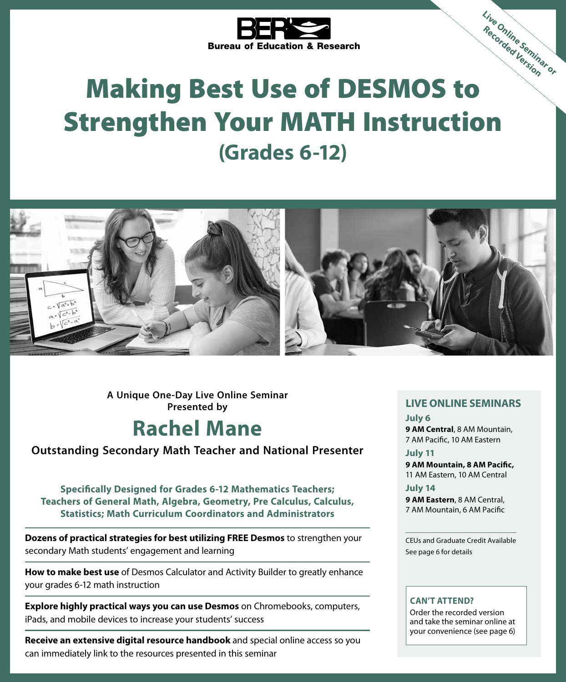

# Bureau of Education & Research<br>Making Best Use of DESMOS to Strengthen Your MATH Instruction **(Grades 6-12) Live Online Seminar or Recorded Version**



**A Unique One-Day Live Online Seminar Presented by LIVE ONLINE SEMINARS**

### **Rachel Mane**

#### **Outstanding Secondary Math Teacher and National Presenter**

**Specifically Designed for Grades 6-12 Mathematics Teachers; Teachers of General Math, Algebra, Geometry, Pre Calculus, Calculus, Statistics; Math Curriculum Coordinators and Administrators**

**Dozens of practical strategies for best utilizing FREE Desmos** to strengthen your secondary Math students' engagement and learning

**How to make best use** of Desmos Calculator and Activity Builder to greatly enhance your grades 6-12 math instruction

**Explore highly practical ways you can use Desmos** on Chromebooks, computers, iPads, and mobile devices to increase your students' success

**Receive an extensive digital resource handbook** and special online access so you can immediately link to the resources presented in this seminar

**July 6**

**9 AM Central**, 8 AM Mountain, 7 AM Pacific, 10 AM Eastern

**July 11 9 AM Mountain, 8 AM Pacific,** 11 AM Eastern, 10 AM Central

**July 14**

**9 AM Eastern**, 8 AM Central, 7 AM Mountain, 6 AM Pacific

CEUs and Graduate Credit Available See page 6 for details

#### **CAN'T ATTEND?**

Order the recorded version and take the seminar online at your convenience (see page 6)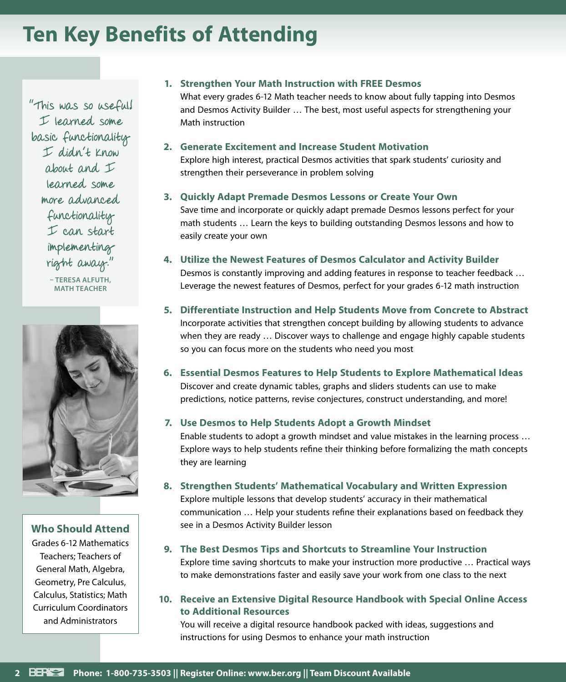### **Ten Key Benefits of Attending**

"This was so useful! I learned some basic functionality I didn't know about and I learned some more advanced functionality I can start implementing right away." **– TERESA ALFUTH, MATH TEACHER**



#### **Who Should Attend**

Grades 6-12 Mathematics Teachers; Teachers of General Math, Algebra, Geometry, Pre Calculus, Calculus, Statistics; Math Curriculum Coordinators and Administrators

#### **1. Strengthen Your Math Instruction with FREE Desmos** What every grades 6-12 Math teacher needs to know about fully tapping into Desmos and Desmos Activity Builder … The best, most useful aspects for strengthening your Math instruction

#### **2. Generate Excitement and Increase Student Motivation** Explore high interest, practical Desmos activities that spark students' curiosity and strengthen their perseverance in problem solving

#### **3. Quickly Adapt Premade Desmos Lessons or Create Your Own**

Save time and incorporate or quickly adapt premade Desmos lessons perfect for your math students … Learn the keys to building outstanding Desmos lessons and how to easily create your own

#### **4. Utilize the Newest Features of Desmos Calculator and Activity Builder** Desmos is constantly improving and adding features in response to teacher feedback … Leverage the newest features of Desmos, perfect for your grades 6-12 math instruction

**5. Differentiate Instruction and Help Students Move from Concrete to Abstract** Incorporate activities that strengthen concept building by allowing students to advance when they are ready … Discover ways to challenge and engage highly capable students so you can focus more on the students who need you most

#### **6. Essential Desmos Features to Help Students to Explore Mathematical Ideas** Discover and create dynamic tables, graphs and sliders students can use to make predictions, notice patterns, revise conjectures, construct understanding, and more!

#### **7. Use Desmos to Help Students Adopt a Growth Mindset**

Enable students to adopt a growth mindset and value mistakes in the learning process … Explore ways to help students refine their thinking before formalizing the math concepts they are learning

#### **8. Strengthen Students' Mathematical Vocabulary and Written Expression**

Explore multiple lessons that develop students' accuracy in their mathematical communication … Help your students refine their explanations based on feedback they see in a Desmos Activity Builder lesson

#### **9. The Best Desmos Tips and Shortcuts to Streamline Your Instruction**

Explore time saving shortcuts to make your instruction more productive … Practical ways to make demonstrations faster and easily save your work from one class to the next

#### **10. Receive an Extensive Digital Resource Handbook with Special Online Access to Additional Resources**

You will receive a digital resource handbook packed with ideas, suggestions and instructions for using Desmos to enhance your math instruction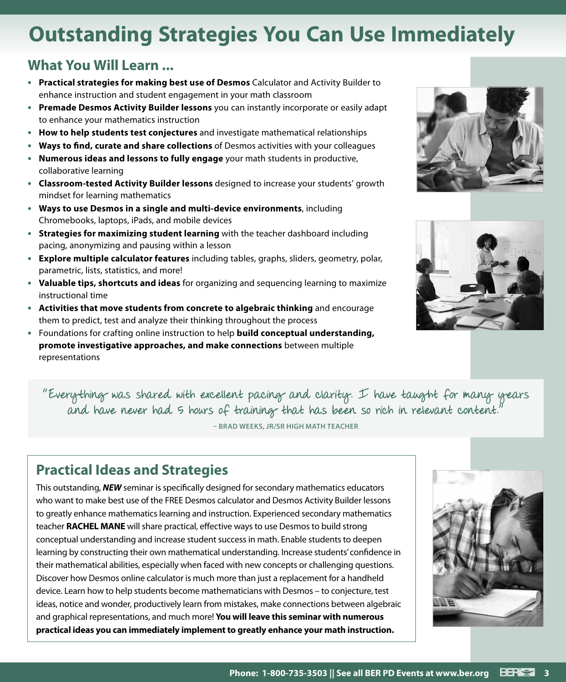## **Outstanding Strategies You Can Use Immediately**

#### **What You Will Learn ...**

- **• Practical strategies for making best use of Desmos** Calculator and Activity Builder to enhance instruction and student engagement in your math classroom
- **• Premade Desmos Activity Builder lessons** you can instantly incorporate or easily adapt to enhance your mathematics instruction
- **• How to help students test conjectures** and investigate mathematical relationships
- **• Ways to find, curate and share collections** of Desmos activities with your colleagues
- **• Numerous ideas and lessons to fully engage** your math students in productive, collaborative learning
- **• Classroom-tested Activity Builder lessons** designed to increase your students' growth mindset for learning mathematics
- **• Ways to use Desmos in a single and multi-device environments**, including Chromebooks, laptops, iPads, and mobile devices
- **• Strategies for maximizing student learning** with the teacher dashboard including pacing, anonymizing and pausing within a lesson
- **• Explore multiple calculator features** including tables, graphs, sliders, geometry, polar, parametric, lists, statistics, and more!
- **• Valuable tips, shortcuts and ideas** for organizing and sequencing learning to maximize instructional time
- **• Activities that move students from concrete to algebraic thinking** and encourage them to predict, test and analyze their thinking throughout the process
- **•** Foundations for crafting online instruction to help **build conceptual understanding, promote investigative approaches, and make connections** between multiple representations





"Everything was shared with excellent pacing and clarity. I have taught for many years and have never had 5 hours of training that has been so rich in relevant content."

**– BRAD WEEKS, JR/SR HIGH MATH TEACHER**

### **Practical Ideas and Strategies**

This outstanding, *NEW* seminar is specifically designed for secondary mathematics educators who want to make best use of the FREE Desmos calculator and Desmos Activity Builder lessons to greatly enhance mathematics learning and instruction. Experienced secondary mathematics teacher **RACHEL MANE** will share practical, effective ways to use Desmos to build strong conceptual understanding and increase student success in math. Enable students to deepen learning by constructing their own mathematical understanding. Increase students' confidence in their mathematical abilities, especially when faced with new concepts or challenging questions. Discover how Desmos online calculator is much more than just a replacement for a handheld device. Learn how to help students become mathematicians with Desmos – to conjecture, test ideas, notice and wonder, productively learn from mistakes, make connections between algebraic and graphical representations, and much more! **You will leave this seminar with numerous practical ideas you can immediately implement to greatly enhance your math instruction.**

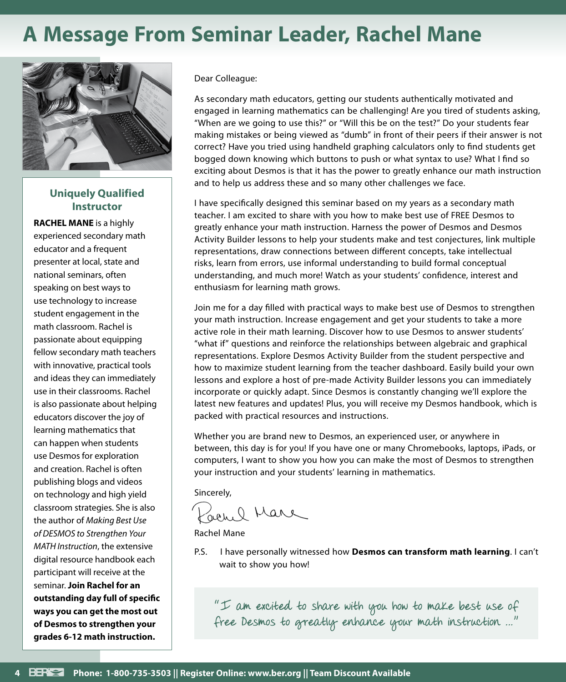### **A Message From Seminar Leader, Rachel Mane**



#### **Uniquely Qualified Instructor**

**RACHEL MANE** is a highly experienced secondary math educator and a frequent presenter at local, state and national seminars, often speaking on best ways to use technology to increase student engagement in the math classroom. Rachel is passionate about equipping fellow secondary math teachers with innovative, practical tools and ideas they can immediately use in their classrooms. Rachel is also passionate about helping educators discover the joy of learning mathematics that can happen when students use Desmos for exploration and creation. Rachel is often publishing blogs and videos on technology and high yield classroom strategies. She is also the author of *Making Best Use of DESMOS to Strengthen Your MATH Instruction*, the extensive digital resource handbook each participant will receive at the seminar. **Join Rachel for an outstanding day full of specific ways you can get the most out of Desmos to strengthen your grades 6-12 math instruction.**

Dear Colleague:

As secondary math educators, getting our students authentically motivated and engaged in learning mathematics can be challenging! Are you tired of students asking, "When are we going to use this?" or "Will this be on the test?" Do your students fear making mistakes or being viewed as "dumb" in front of their peers if their answer is not correct? Have you tried using handheld graphing calculators only to find students get bogged down knowing which buttons to push or what syntax to use? What I find so exciting about Desmos is that it has the power to greatly enhance our math instruction and to help us address these and so many other challenges we face.

I have specifically designed this seminar based on my years as a secondary math teacher. I am excited to share with you how to make best use of FREE Desmos to greatly enhance your math instruction. Harness the power of Desmos and Desmos Activity Builder lessons to help your students make and test conjectures, link multiple representations, draw connections between different concepts, take intellectual risks, learn from errors, use informal understanding to build formal conceptual understanding, and much more! Watch as your students' confidence, interest and enthusiasm for learning math grows.

Join me for a day filled with practical ways to make best use of Desmos to strengthen your math instruction. Increase engagement and get your students to take a more active role in their math learning. Discover how to use Desmos to answer students' "what if" questions and reinforce the relationships between algebraic and graphical representations. Explore Desmos Activity Builder from the student perspective and how to maximize student learning from the teacher dashboard. Easily build your own lessons and explore a host of pre-made Activity Builder lessons you can immediately incorporate or quickly adapt. Since Desmos is constantly changing we'll explore the latest new features and updates! Plus, you will receive my Desmos handbook, which is packed with practical resources and instructions.

Whether you are brand new to Desmos, an experienced user, or anywhere in between, this day is for you! If you have one or many Chromebooks, laptops, iPads, or computers, I want to show you how you can make the most of Desmos to strengthen your instruction and your students' learning in mathematics.

Sincerely,

GAL. O Mare

Rachel Mane

P.S. I have personally witnessed how **Desmos can transform math learning**. I can't wait to show you how!

"I am excited to share with you how to make best use of free Desmos to greatly enhance your math instruction …"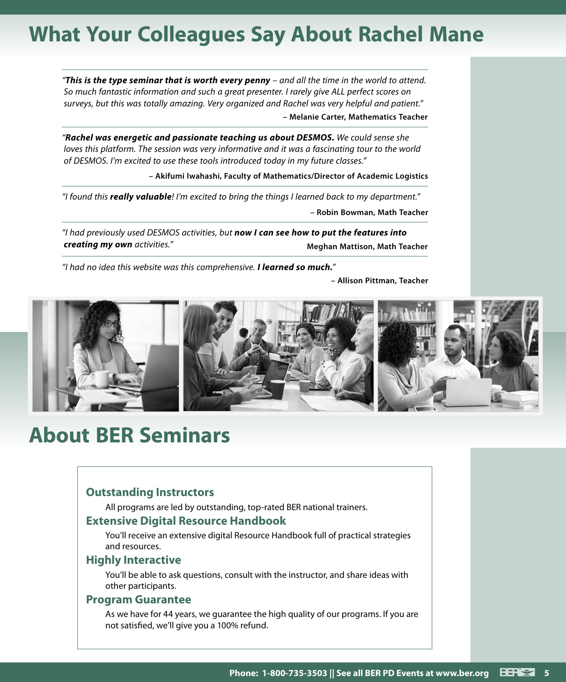### **What Your Colleagues Say About Rachel Mane**

*"This is the type seminar that is worth every penny – and all the time in the world to attend. So much fantastic information and such a great presenter. I rarely give ALL perfect scores on surveys, but this was totally amazing. Very organized and Rachel was very helpful and patient."* **– Melanie Carter, Mathematics Teacher**

*"Rachel was energetic and passionate teaching us about DESMOS. We could sense she loves this platform. The session was very informative and it was a fascinating tour to the world of DESMOS. I'm excited to use these tools introduced today in my future classes."*

**– Akifumi Iwahashi, Faculty of Mathematics/Director of Academic Logistics**

*"I found this really valuable! I'm excited to bring the things I learned back to my department."* **– Robin Bowman, Math Teacher**

*"I had previously used DESMOS activities, but now I can see how to put the features into creating my own activities."* **Meghan Mattison, Math Teacher** 

*"I had no idea this website was this comprehensive. I learned so much."*

**– Allison Pittman, Teacher**



### **About BER Seminars**

#### **Outstanding Instructors**

All programs are led by outstanding, top-rated BER national trainers.

#### **Extensive Digital Resource Handbook**

You'll receive an extensive digital Resource Handbook full of practical strategies and resources.

#### **Highly Interactive**

You'll be able to ask questions, consult with the instructor, and share ideas with other participants.

#### **Program Guarantee**

As we have for 44 years, we guarantee the high quality of our programs. If you are not satisfied, we'll give you a 100% refund.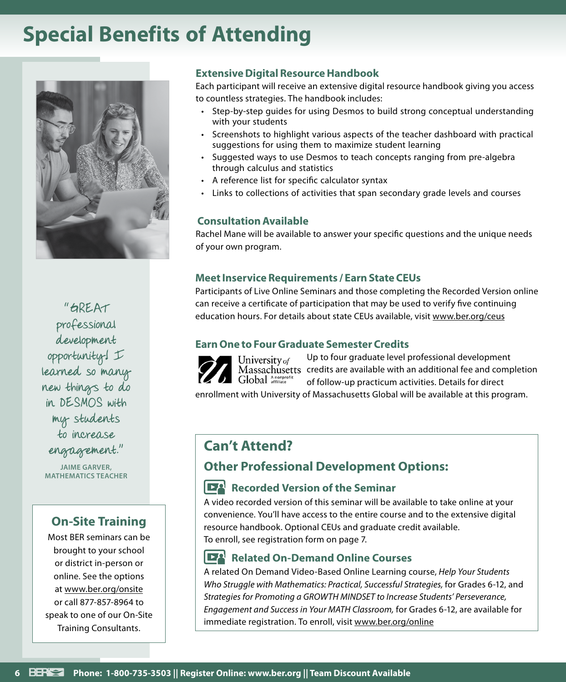### **Special Benefits of Attending**



"GREAT professional development opportunity! I learned so many new things to do in DESMOS with my students to increase engagement."

**JAIME GARVER, MATHEMATICS TEACHER**

#### **On-Site Training**

Most BER seminars can be brought to your school or district in-person or online. See the options at www.ber.org/onsite or call 877-857-8964 to speak to one of our On-Site Training Consultants.

#### **Extensive Digital Resource Handbook**

Each participant will receive an extensive digital resource handbook giving you access to countless strategies. The handbook includes:

- Step-by-step guides for using Desmos to build strong conceptual understanding with your students
- Screenshots to highlight various aspects of the teacher dashboard with practical suggestions for using them to maximize student learning
- Suggested ways to use Desmos to teach concepts ranging from pre-algebra through calculus and statistics
- A reference list for specific calculator syntax
- Links to collections of activities that span secondary grade levels and courses

#### **Consultation Available**

Rachel Mane will be available to answer your specific questions and the unique needs of your own program.

#### **Meet Inservice Requirements / Earn State CEUs**

Participants of Live Online Seminars and those completing the Recorded Version online can receive a certificate of participation that may be used to verify five continuing education hours. For details about state CEUs available, visit www.ber.org/ceus

#### **Earn One to Four Graduate Semester Credits**



Up to four graduate level professional development Massachusetts credits are available with an additional fee and completion of follow-up practicum activities. Details for direct

enrollment with University of Massachusetts Global will be available at this program.

#### **Can't Attend?**

#### **Other Professional Development Options:**

#### **Recorded Version of the Seminar**

A video recorded version of this seminar will be available to take online at your convenience. You'll have access to the entire course and to the extensive digital resource handbook. Optional CEUs and graduate credit available. To enroll, see registration form on page 7.

#### **Related On-Demand Online Courses**

A related On Demand Video-Based Online Learning course, *Help Your Students Who Struggle with Mathematics: Practical, Successful Strategies,* for Grades 6-12, and *Strategies for Promoting a GROWTH MINDSET to Increase Students' Perseverance, Engagement and Success in Your MATH Classroom,* for Grades 6-12, are available for immediate registration. To enroll, visit www.ber.org/online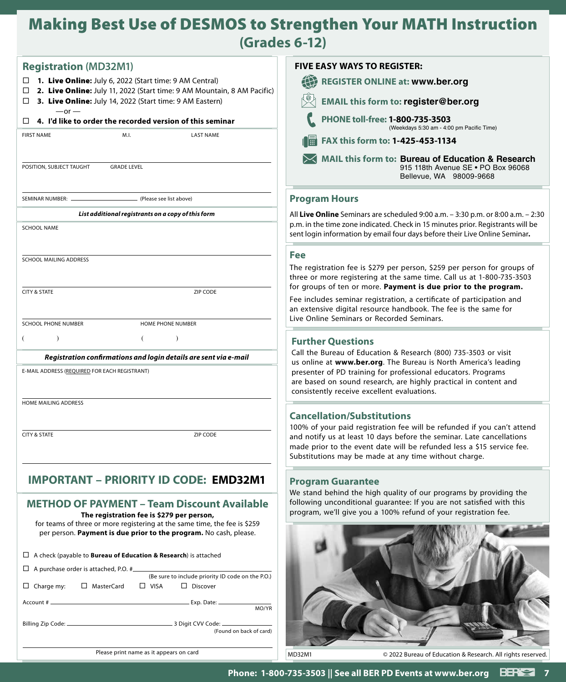### Making Best Use of DESMOS to Strengthen Your MATH Instruction **(Grades 6-12)**

| <b>Registration (MD32M1)</b>                                                                                                                                                                                                                      | <b>FIVE EASY WAYS TO REGISTER:</b>                                                                                                                                                                                   |
|---------------------------------------------------------------------------------------------------------------------------------------------------------------------------------------------------------------------------------------------------|----------------------------------------------------------------------------------------------------------------------------------------------------------------------------------------------------------------------|
| 1. Live Online: July 6, 2022 (Start time: 9 AM Central)<br>□                                                                                                                                                                                      | 任<br><b>REGISTER ONLINE at: www.ber.org</b>                                                                                                                                                                          |
| 2. Live Online: July 11, 2022 (Start time: 9 AM Mountain, 8 AM Pacific)<br>□<br>3. Live Online: July 14, 2022 (Start time: 9 AM Eastern)<br>□                                                                                                     | <b>EMAIL this form to: register@ber.org</b>                                                                                                                                                                          |
| $-or -$<br>4. I'd like to order the recorded version of this seminar<br>□                                                                                                                                                                         | PHONE toll-free: 1-800-735-3503<br>(Weekdays 5:30 am - 4:00 pm Pacific Time)                                                                                                                                         |
| <b>LAST NAME</b><br><b>FIRST NAME</b><br>M.I.                                                                                                                                                                                                     | FAX this form to: 1-425-453-1134                                                                                                                                                                                     |
| POSITION, SUBJECT TAUGHT<br><b>GRADE LEVEL</b>                                                                                                                                                                                                    | MAIL this form to: Bureau of Education & Research<br>915 118th Avenue SE . PO Box 96068<br>Bellevue, WA 98009-9668                                                                                                   |
| SEMINAR NUMBER: _<br>(Please see list above)                                                                                                                                                                                                      | <b>Program Hours</b>                                                                                                                                                                                                 |
| List additional registrants on a copy of this form                                                                                                                                                                                                | All Live Online Seminars are scheduled 9:00 a.m. - 3:30 p.m. or 8:00 a.m. - 2:30                                                                                                                                     |
| <b>SCHOOL NAME</b>                                                                                                                                                                                                                                | p.m. in the time zone indicated. Check in 15 minutes prior. Registrants will be<br>sent login information by email four days before their Live Online Seminar.                                                       |
|                                                                                                                                                                                                                                                   | <b>Fee</b>                                                                                                                                                                                                           |
| SCHOOL MAILING ADDRESS                                                                                                                                                                                                                            | The registration fee is \$279 per person, \$259 per person for groups of<br>three or more registering at the same time. Call us at 1-800-735-3503<br>for groups of ten or more. Payment is due prior to the program. |
| <b>CITY &amp; STATE</b><br>ZIP CODE                                                                                                                                                                                                               | Fee includes seminar registration, a certificate of participation and<br>an extensive digital resource handbook. The fee is the same for<br>Live Online Seminars or Recorded Seminars.                               |
| <b>SCHOOL PHONE NUMBER</b><br>HOME PHONE NUMBER                                                                                                                                                                                                   |                                                                                                                                                                                                                      |
| $\lambda$<br>$\lambda$                                                                                                                                                                                                                            | <b>Further Questions</b>                                                                                                                                                                                             |
| Registration confirmations and login details are sent via e-mail                                                                                                                                                                                  | Call the Bureau of Education & Research (800) 735-3503 or visit<br>us online at www.ber.org. The Bureau is North America's leading                                                                                   |
| E-MAIL ADDRESS (REQUIRED FOR EACH REGISTRANT)                                                                                                                                                                                                     | presenter of PD training for professional educators. Programs<br>are based on sound research, are highly practical in content and<br>consistently receive excellent evaluations.                                     |
| HOME MAILING ADDRESS                                                                                                                                                                                                                              |                                                                                                                                                                                                                      |
|                                                                                                                                                                                                                                                   | <b>Cancellation/Substitutions</b><br>100% of your paid registration fee will be refunded if you can't attend                                                                                                         |
| <b>CITY &amp; STATE</b><br>ZIP CODE                                                                                                                                                                                                               | and notify us at least 10 days before the seminar. Late cancellations<br>made prior to the event date will be refunded less a \$15 service fee.<br>Substitutions may be made at any time without charge.             |
| <b>IMPORTANT - PRIORITY ID CODE: EMD32M1</b>                                                                                                                                                                                                      | <b>Program Guarantee</b>                                                                                                                                                                                             |
| <b>METHOD OF PAYMENT - Team Discount Available</b><br>The registration fee is \$279 per person,<br>for teams of three or more registering at the same time, the fee is \$259<br>per person. Payment is due prior to the program. No cash, please. | We stand behind the high quality of our programs by providing the<br>following unconditional guarantee: If you are not satisfied with this<br>program, we'll give you a 100% refund of your registration fee.        |
| $\Box$ A check (payable to <b>Bureau of Education &amp; Research</b> ) is attached                                                                                                                                                                |                                                                                                                                                                                                                      |
| $\Box$ A purchase order is attached, P.O. # $\Box$<br>(Be sure to include priority ID code on the P.O.)                                                                                                                                           |                                                                                                                                                                                                                      |
| $\Box$ Charge my:<br>□ MasterCard<br>$\Box$ VISA<br>$\Box$ Discover                                                                                                                                                                               |                                                                                                                                                                                                                      |
| MO/YR                                                                                                                                                                                                                                             |                                                                                                                                                                                                                      |
| (Found on back of card)                                                                                                                                                                                                                           |                                                                                                                                                                                                                      |
| Please print name as it appears on card                                                                                                                                                                                                           | MD32M1<br>© 2022 Bureau of Education & Research. All rights reserved.                                                                                                                                                |